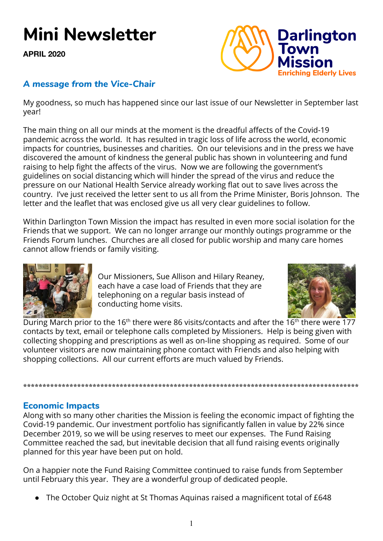# **Mini Newsletter**

**APRIL 2020**



## *A message from the Vice-Chair*

My goodness, so much has happened since our last issue of our Newsletter in September last year!

The main thing on all our minds at the moment is the dreadful affects of the Covid-19 pandemic across the world. It has resulted in tragic loss of life across the world, economic impacts for countries, businesses and charities. On our televisions and in the press we have discovered the amount of kindness the general public has shown in volunteering and fund raising to help fight the affects of the virus. Now we are following the government's guidelines on social distancing which will hinder the spread of the virus and reduce the pressure on our National Health Service already working flat out to save lives across the country. I've just received the letter sent to us all from the Prime Minister, Boris Johnson. The letter and the leaflet that was enclosed give us all very clear guidelines to follow.

Within Darlington Town Mission the impact has resulted in even more social isolation for the Friends that we support. We can no longer arrange our monthly outings programme or the Friends Forum lunches. Churches are all closed for public worship and many care homes cannot allow friends or family visiting.



Our Missioners, Sue Allison and Hilary Reaney, each have a case load of Friends that they are telephoning on a regular basis instead of conducting home visits.



During March prior to the 16<sup>th</sup> there were 86 visits/contacts and after the 16<sup>th</sup> there were 177 contacts by text, email or telephone calls completed by Missioners. Help is being given with collecting shopping and prescriptions as well as on-line shopping as required. Some of our volunteer visitors are now maintaining phone contact with Friends and also helping with shopping collections. All our current efforts are much valued by Friends.

**\*\*\*\*\*\*\*\*\*\*\*\*\*\*\*\*\*\*\*\*\*\*\*\*\*\*\*\*\*\*\*\*\*\*\*\*\*\*\*\*\*\*\*\*\*\*\*\*\*\*\*\*\*\*\*\*\*\*\*\*\*\*\*\*\*\*\*\*\*\*\*\*\*\*\*\*\*\*\*\*\*\*\*\*\*\*\***

# **Economic Impacts**

Along with so many other charities the Mission is feeling the economic impact of fighting the Covid-19 pandemic. Our investment portfolio has significantly fallen in value by 22% since December 2019, so we will be using reserves to meet our expenses. The Fund Raising Committee reached the sad, but inevitable decision that all fund raising events originally planned for this year have been put on hold.

On a happier note the Fund Raising Committee continued to raise funds from September until February this year. They are a wonderful group of dedicated people.

● The October Quiz night at St Thomas Aquinas raised a magnificent total of £648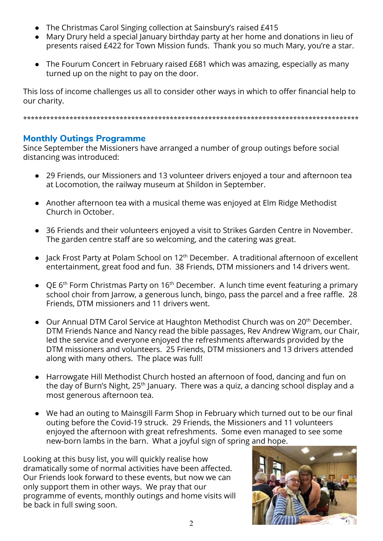- The Christmas Carol Singing collection at Sainsbury's raised £415
- Mary Drury held a special January birthday party at her home and donations in lieu of presents raised £422 for Town Mission funds. Thank you so much Mary, you're a star.
- The Fourum Concert in February raised £681 which was amazing, especially as many turned up on the night to pay on the door.

This loss of income challenges us all to consider other ways in which to offer financial help to our charity.

**\*\*\*\*\*\*\*\*\*\*\*\*\*\*\*\*\*\*\*\*\*\*\*\*\*\*\*\*\*\*\*\*\*\*\*\*\*\*\*\*\*\*\*\*\*\*\*\*\*\*\*\*\*\*\*\*\*\*\*\*\*\*\*\*\*\*\*\*\*\*\*\*\*\*\*\*\*\*\*\*\*\*\*\*\*\*\***

#### **Monthly Outings Programme**

Since September the Missioners have arranged a number of group outings before social distancing was introduced:

- 29 Friends, our Missioners and 13 volunteer drivers enjoyed a tour and afternoon tea at Locomotion, the railway museum at Shildon in September.
- Another afternoon tea with a musical theme was enjoyed at Elm Ridge Methodist Church in October.
- 36 Friends and their volunteers enjoyed a visit to Strikes Garden Centre in November. The garden centre staff are so welcoming, and the catering was great.
- Jack Frost Party at Polam School on 12<sup>th</sup> December. A traditional afternoon of excellent entertainment, great food and fun. 38 Friends, DTM missioners and 14 drivers went.
- QE  $6<sup>th</sup>$  Form Christmas Party on 16<sup>th</sup> December. A lunch time event featuring a primary school choir from Jarrow, a generous lunch, bingo, pass the parcel and a free raffle. 28 Friends, DTM missioners and 11 drivers went.
- Our Annual DTM Carol Service at Haughton Methodist Church was on 20<sup>th</sup> December. DTM Friends Nance and Nancy read the bible passages, Rev Andrew Wigram, our Chair, led the service and everyone enjoyed the refreshments afterwards provided by the DTM missioners and volunteers. 25 Friends, DTM missioners and 13 drivers attended along with many others. The place was full!
- Harrowgate Hill Methodist Church hosted an afternoon of food, dancing and fun on the day of Burn's Night, 25<sup>th</sup> January. There was a quiz, a dancing school display and a most generous afternoon tea.
- We had an outing to Mainsgill Farm Shop in February which turned out to be our final outing before the Covid-19 struck. 29 Friends, the Missioners and 11 volunteers enjoyed the afternoon with great refreshments. Some even managed to see some new-born lambs in the barn. What a joyful sign of spring and hope.

Looking at this busy list, you will quickly realise how dramatically some of normal activities have been affected. Our Friends look forward to these events, but now we can only support them in other ways. We pray that our programme of events, monthly outings and home visits will be back in full swing soon.

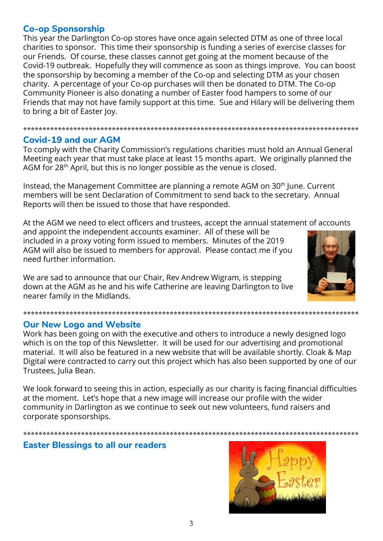### **Co-op Sponsorship**

This year the Darlington Co-op stores have once again selected DTM as one of three local charities to sponsor. This time their sponsorship is funding a series of exercise classes for our Friends. Of course, these classes cannot get going at the moment because of the Covid-19 outbreak. Hopefully they will commence as soon as things improve. You can boost the sponsorship by becoming a member of the Co-op and selecting DTM as your chosen charity. A percentage of your Co-op purchases will then be donated to DTM. The Co-op Community Pioneer is also donating a number of Easter food hampers to some of our Friends that may not have family support at this time. Sue and Hilary will be delivering them to bring a bit of Easter Joy.

#### **Covid-19 and our AGM**

To comply with the Charity Commission's regulations charities must hold an Annual General Meeting each year that must take place at least 15 months apart. We originally planned the AGM for 28<sup>th</sup> April, but this is no longer possible as the venue is closed.

Instead, the Management Committee are planning a remote AGM on 30<sup>th</sup> June. Current members will be sent Declaration of Commitment to send back to the secretary. Annual Reports will then be issued to those that have responded.

At the AGM we need to elect officers and trustees, accept the annual statement of accounts and appoint the independent accounts examiner. All of these will be

included in a proxy voting form issued to members. Minutes of the 2019 AGM will also be issued to members for approval. Please contact me if you need further information.

We are sad to announce that our Chair, Rev Andrew Wigram, is stepping down at the AGM as he and his wife Catherine are leaving Darlington to live nearer family in the Midlands.

#### 

#### **Our New Logo and Website**

Work has been going on with the executive and others to introduce a newly designed logo which is on the top of this Newsletter. It will be used for our advertising and promotional material. It will also be featured in a new website that will be available shortly. Cloak & Map Digital were contracted to carry out this project which has also been supported by one of our Trustees, Julia Bean.

We look forward to seeing this in action, especially as our charity is facing financial difficulties at the moment. Let's hope that a new image will increase our profile with the wider community in Darlington as we continue to seek out new volunteers, fund raisers and corporate sponsorships.

# **Easter Blessings to all our readers**